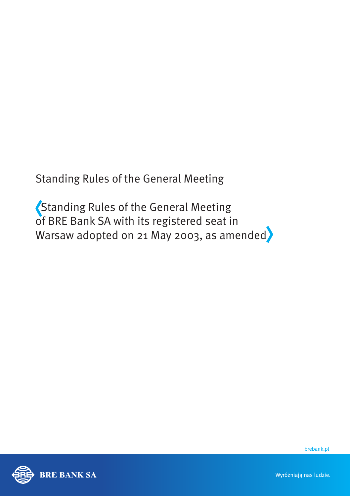Standing Rules of the General Meeting

 Standing Rules of the General Meeting of BRE Bank SA with its registered seat in Warsaw adopted on 21 May 2003, as amended



brebank.pl

Wyróżniają nas ludzie.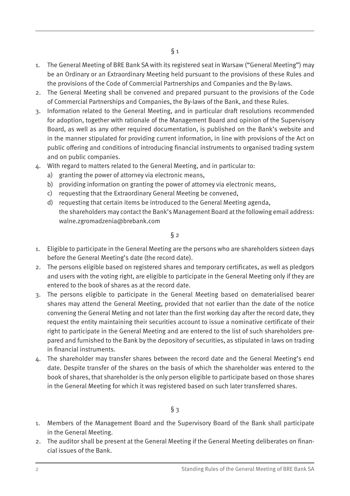- 1. The General Meeting of BRE Bank SA with its registered seat in Warsaw ("General Meeting") may be an Ordinary or an Extraordinary Meeting held pursuant to the provisions of these Rules and the provisions of the Code of Commercial Partnerships and Companies and the By-laws.
- 2. The General Meeting shall be convened and prepared pursuant to the provisions of the Code of Commercial Partnerships and Companies, the By-laws of the Bank, and these Rules.
- 3. Information related to the General Meeting, and in particular draft resolutions recommended for adoption, together with rationale of the Management Board and opinion of the Supervisory Board, as well as any other required documentation, is published on the Bank's website and in the manner stipulated for providing current information, in line with provisions of the Act on public offering and conditions of introducing financial instruments to organised trading system and on public companies.
- 4. With regard to matters related to the General Meeting, and in particular to:
	- a) granting the power of attorney via electronic means,
	- b) providing information on granting the power of attorney via electronic means,
	- c) requesting that the Extraordinary General Meeting be convened,
	- d) requesting that certain items be introduced to the General Meeting agenda, the shareholders may contact the Bank's Management Board at the following email address: walne.zgromadzenia@brebank.com

- 1. Eligible to participate in the General Meeting are the persons who are shareholders sixteen days before the General Meeting's date (the record date).
- 2. The persons eligible based on registered shares and temporary certificates, as well as pledgors and users with the voting right, are eligible to participate in the General Meeting only if they are entered to the book of shares as at the record date.
- 3. The persons eligible to participate in the General Meeting based on dematerialised bearer shares may attend the General Meeting, provided that not earlier than the date of the notice convening the General Meting and not later than the first working day after the record date, they request the entity maintaining their securities account to issue a nominative certificate of their right to participate in the General Meeting and are entered to the list of such shareholders prepared and furnished to the Bank by the depository of securities, as stipulated in laws on trading in financial instruments.
- 4. The shareholder may transfer shares between the record date and the General Meeting's end date. Despite transfer of the shares on the basis of which the shareholder was entered to the book of shares, that shareholder is the only person eligible to participate based on those shares in the General Meeting for which it was registered based on such later transferred shares.

- $§$  3
- 1. Members of the Management Board and the Supervisory Board of the Bank shall participate in the General Meeting.
- 2. The auditor shall be present at the General Meeting if the General Meeting deliberates on financial issues of the Bank.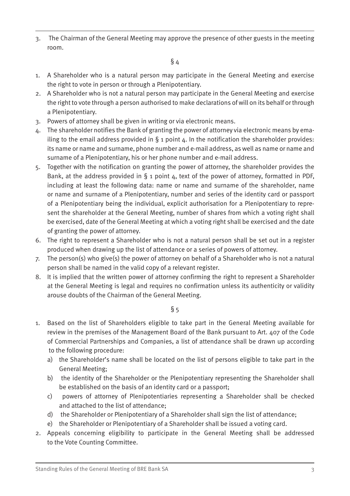3. The Chairman of the General Meeting may approve the presence of other guests in the meeting room.

 $§$  4

- 1. A Shareholder who is a natural person may participate in the General Meeting and exercise the right to vote in person or through a Plenipotentiary.
- 2. A Shareholder who is not a natural person may participate in the General Meeting and exercise the right to vote through a person authorised to make declarations of will on its behalf or through a Plenipotentiary.
- 3. Powers of attorney shall be given in writing or via electronic means.
- 4. The shareholder notifies the Bank of granting the power of attorney via electronic means by emailing to the email address provided in  $\S$  1 point  $\Delta$ . In the notification the shareholder provides: its name or name and surname, phone number and e-mail address, as well as name or name and surname of a Plenipotentiary, his or her phone number and e-mail address.
- 5. Together with the notification on granting the power of attorney, the shareholder provides the Bank, at the address provided in  $\S$  1 point  $4$ , text of the power of attorney, formatted in PDF, including at least the following data: name or name and surname of the shareholder, name or name and surname of a Plenipotentiary, number and series of the identity card or passport of a Plenipotentiary being the individual, explicit authorisation for a Plenipotentiary to represent the shareholder at the General Meeting, number of shares from which a voting right shall be exercised, date of the General Meeting at which a voting right shall be exercised and the date of granting the power of attorney.
- 6. The right to represent a Shareholder who is not a natural person shall be set out in a register produced when drawing up the list of attendance or a series of powers of attorney.
- 7. The person(s) who give(s) the power of attorney on behalf of a Shareholder who is not a natural person shall be named in the valid copy of a relevant register.
- 8. It is implied that the written power of attorney confirming the right to represent a Shareholder at the General Meeting is legal and requires no confirmation unless its authenticity or validity arouse doubts of the Chairman of the General Meeting.

- 1. Based on the list of Shareholders eligible to take part in the General Meeting available for review in the premises of the Management Board of the Bank pursuant to Art. 407 of the Code of Commercial Partnerships and Companies, a list of attendance shall be drawn up according to the following procedure:
	- a) the Shareholder's name shall be located on the list of persons eligible to take part in the General Meeting;
	- b) the identity of the Shareholder or the Plenipotentiary representing the Shareholder shall be established on the basis of an identity card or a passport;
	- c) powers of attorney of Plenipotentiaries representing a Shareholder shall be checked and attached to the list of attendance;
	- d) the Shareholder or Plenipotentiary of a Shareholder shall sign the list of attendance;
	- e) the Shareholder or Plenipotentiary of a Shareholder shall be issued a voting card.
- 2. Appeals concerning eligibility to participate in the General Meeting shall be addressed to the Vote Counting Committee.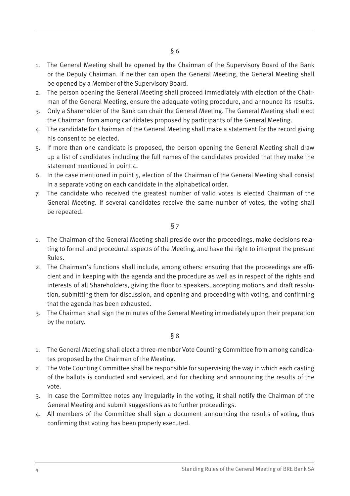- 1. The General Meeting shall be opened by the Chairman of the Supervisory Board of the Bank or the Deputy Chairman. If neither can open the General Meeting, the General Meeting shall be opened by a Member of the Supervisory Board.
- 2. The person opening the General Meeting shall proceed immediately with election of the Chairman of the General Meeting, ensure the adequate voting procedure, and announce its results.
- 3. Only a Shareholder of the Bank can chair the General Meeting. The General Meeting shall elect the Chairman from among candidates proposed by participants of the General Meeting.
- 4. The candidate for Chairman of the General Meeting shall make a statement for the record giving his consent to be elected.
- 5. If more than one candidate is proposed, the person opening the General Meeting shall draw up a list of candidates including the full names of the candidates provided that they make the statement mentioned in point  $\Delta$ .
- 6. In the case mentioned in point 5, election of the Chairman of the General Meeting shall consist in a separate voting on each candidate in the alphabetical order.
- 7. The candidate who received the greatest number of valid votes is elected Chairman of the General Meeting. If several candidates receive the same number of votes, the voting shall be repeated.

- 1. The Chairman of the General Meeting shall preside over the proceedings, make decisions relating to formal and procedural aspects of the Meeting, and have the right to interpret the present Rules.
- 2. The Chairman's functions shall include, among others: ensuring that the proceedings are efficient and in keeping with the agenda and the procedure as well as in respect of the rights and interests of all Shareholders, giving the floor to speakers, accepting motions and draft resolution, submitting them for discussion, and opening and proceeding with voting, and confirming that the agenda has been exhausted.
- 3. The Chairman shall sign the minutes of the General Meeting immediately upon their preparation by the notary.

- 1. The General Meeting shall elect a three-member Vote Counting Committee from among candidates proposed by the Chairman of the Meeting.
- 2. The Vote Counting Committee shall be responsible for supervising the way in which each casting of the ballots is conducted and serviced, and for checking and announcing the results of the vote.
- 3. In case the Committee notes any irregularity in the voting, it shall notify the Chairman of the General Meeting and submit suggestions as to further proceedings.
- 4. All members of the Committee shall sign a document announcing the results of voting, thus confirming that voting has been properly executed.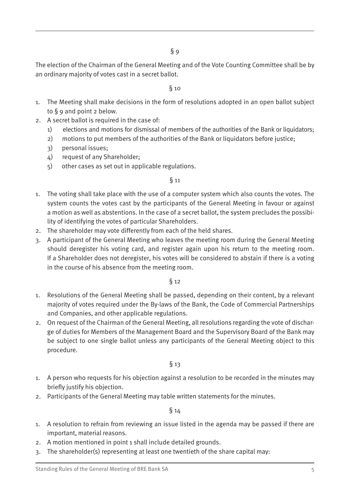The election of the Chairman of the General Meeting and of the Vote Counting Committee shall be by an ordinary majority of votes cast in a secret ballot.

#### $\delta$  10

- 1. The Meeting shall make decisions in the form of resolutions adopted in an open ballot subject to § 9 and point 2 below.
- 2. A secret ballot is required in the case of:
	- 1) elections and motions for dismissal of members of the authorities of the Bank or liquidators;
	- 2) motions to put members of the authorities of the Bank or liquidators before justice;
	- 3) personal issues;
	- 4) request of any Shareholder;
	- 5) other cases as set out in applicable regulations.

#### § 11

- 1. The voting shall take place with the use of a computer system which also counts the votes. The system counts the votes cast by the participants of the General Meeting in favour or against a motion as well as abstentions. In the case of a secret ballot, the system precludes the possibility of identifying the votes of particular Shareholders.
- 2. The shareholder may vote differently from each of the held shares.
- 3. A participant of the General Meeting who leaves the meeting room during the General Meeting should deregister his voting card, and register again upon his return to the meeting room. If a Shareholder does not deregister, his votes will be considered to abstain if there is a voting in the course of his absence from the meeting room.

§ 12

- 1. Resolutions of the General Meeting shall be passed, depending on their content, by a relevant majority of votes required under the By-laws of the Bank, the Code of Commercial Partnerships and Companies, and other applicable regulations.
- 2. On request of the Chairman of the General Meeting, all resolutions regarding the vote of discharge of duties for Members of the Management Board and the Supervisory Board of the Bank may be subject to one single ballot unless any participants of the General Meeting object to this procedure.

#### § 13

- 1. A person who requests for his objection against a resolution to be recorded in the minutes may briefly justify his objection.
- 2. Participants of the General Meeting may table written statements for the minutes.

- 1. A resolution to refrain from reviewing an issue listed in the agenda may be passed if there are important, material reasons.
- 2. A motion mentioned in point 1 shall include detailed grounds.
- 3. The shareholder(s) representing at least one twentieth of the share capital may: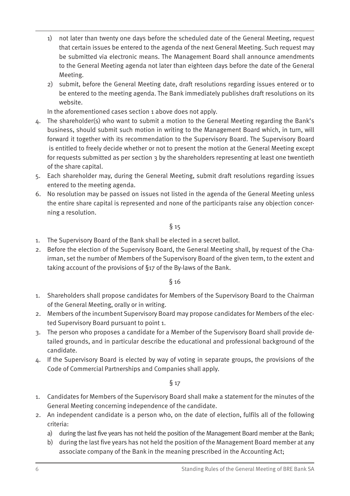- 1) not later than twenty one days before the scheduled date of the General Meeting, request that certain issues be entered to the agenda of the next General Meeting. Such request may be submitted via electronic means. The Management Board shall announce amendments to the General Meeting agenda not later than eighteen days before the date of the General Meeting.
- 2) submit, before the General Meeting date, draft resolutions regarding issues entered or to be entered to the meeting agenda. The Bank immediately publishes draft resolutions on its website.

In the aforementioned cases section 1 above does not apply.

- 4. The shareholder(s) who want to submit a motion to the General Meeting regarding the Bank's business, should submit such motion in writing to the Management Board which, in turn, will forward it together with its recommendation to the Supervisory Board. The Supervisory Board is entitled to freely decide whether or not to present the motion at the General Meeting except for requests submitted as per section 3 by the shareholders representing at least one twentieth of the share capital.
- 5. Each shareholder may, during the General Meeting, submit draft resolutions regarding issues entered to the meeting agenda.
- 6. No resolution may be passed on issues not listed in the agenda of the General Meeting unless the entire share capital is represented and none of the participants raise any objection concerning a resolution.

### $§$  15

- 1. The Supervisory Board of the Bank shall be elected in a secret ballot.
- 2. Before the election of the Supervisory Board, the General Meeting shall, by request of the Chairman, set the number of Members of the Supervisory Board of the given term, to the extent and taking account of the provisions of §17 of the By-laws of the Bank.

#### § 16

- 1. Shareholders shall propose candidates for Members of the Supervisory Board to the Chairman of the General Meeting, orally or in writing.
- 2. Members of the incumbent Supervisory Board may propose candidates for Members of the elected Supervisory Board pursuant to point 1.
- 3. The person who proposes a candidate for a Member of the Supervisory Board shall provide detailed grounds, and in particular describe the educational and professional background of the candidate.
- 4. If the Supervisory Board is elected by way of voting in separate groups, the provisions of the Code of Commercial Partnerships and Companies shall apply.

- 1. Candidates for Members of the Supervisory Board shall make a statement for the minutes of the General Meeting concerning independence of the candidate.
- 2. An independent candidate is a person who, on the date of election, fulfils all of the following criteria:
	- a) during the last five years has not held the position of the Management Board member at the Bank;
	- b) during the last five years has not held the position of the Management Board member at any associate company of the Bank in the meaning prescribed in the Accounting Act;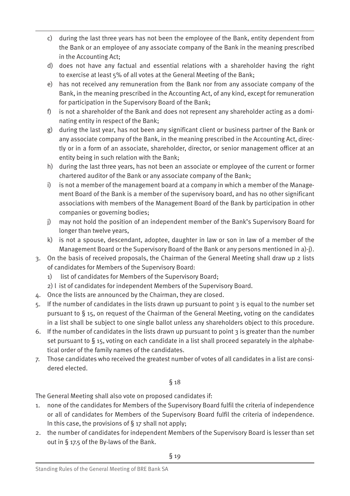- c) during the last three years has not been the employee of the Bank, entity dependent from the Bank or an employee of any associate company of the Bank in the meaning prescribed in the Accounting Act;
- d) does not have any factual and essential relations with a shareholder having the right to exercise at least 5% of all votes at the General Meeting of the Bank;
- e) has not received any remuneration from the Bank nor from any associate company of the Bank, in the meaning prescribed in the Accounting Act, of any kind, except for remuneration for participation in the Supervisory Board of the Bank;
- f) is not a shareholder of the Bank and does not represent any shareholder acting as a dominating entity in respect of the Bank;
- g) during the last year, has not been any significant client or business partner of the Bank or any associate company of the Bank, in the meaning prescribed in the Accounting Act, directly or in a form of an associate, shareholder, director, or senior management officer at an entity being in such relation with the Bank;
- h) during the last three years, has not been an associate or employee of the current or former chartered auditor of the Bank or any associate company of the Bank;
- i) is not a member of the management board at a company in which a member of the Management Board of the Bank is a member of the supervisory board, and has no other significant associations with members of the Management Board of the Bank by participation in other companies or governing bodies;
- j) may not hold the position of an independent member of the Bank's Supervisory Board for longer than twelve years,
- k) is not a spouse, descendant, adoptee, daughter in law or son in law of a member of the Management Board or the Supervisory Board of the Bank or any persons mentioned in a)-j).
- 3. On the basis of received proposals, the Chairman of the General Meeting shall draw up 2 lists of candidates for Members of the Supervisory Board:
	- 1) list of candidates for Members of the Supervisory Board;
	- 2) l ist of candidates for independent Members of the Supervisory Board.
- 4. Once the lists are announced by the Chairman, they are closed.
- 5. If the number of candidates in the lists drawn up pursuant to point 3 is equal to the number set pursuant to § 15, on request of the Chairman of the General Meeting, voting on the candidates in a list shall be subject to one single ballot unless any shareholders object to this procedure.
- 6. If the number of candidates in the lists drawn up pursuant to point  $\frac{1}{2}$  is greater than the number set pursuant to § 15, voting on each candidate in a list shall proceed separately in the alphabetical order of the family names of the candidates.
- 7. Those candidates who received the greatest number of votes of all candidates in a list are considered elected.

The General Meeting shall also vote on proposed candidates if:

- 1. none of the candidates for Members of the Supervisory Board fulfil the criteria of independence or all of candidates for Members of the Supervisory Board fulfil the criteria of independence. In this case, the provisions of § 17 shall not apply;
- 2. the number of candidates for independent Members of the Supervisory Board is lesser than set out in § 17.5 of the By-laws of the Bank.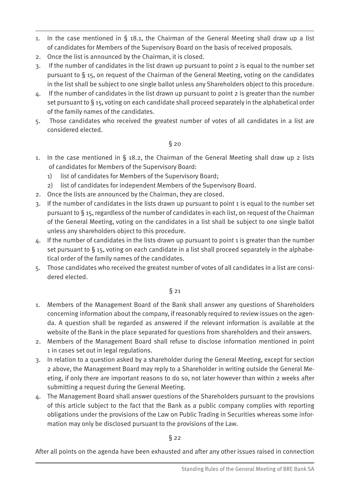- 1. In the case mentioned in § 18.1, the Chairman of the General Meeting shall draw up a list of candidates for Members of the Supervisory Board on the basis of received proposals.
- 2. Once the list is announced by the Chairman, it is closed.
- 3. If the number of candidates in the list drawn up pursuant to point 2 is equal to the number set pursuant to § 15, on request of the Chairman of the General Meeting, voting on the candidates in the list shall be subject to one single ballot unless any Shareholders object to this procedure.
- 4. If the number of candidates in the list drawn up pursuant to point 2 is greater than the number set pursuant to § 15, voting on each candidate shall proceed separately in the alphabetical order of the family names of the candidates.
- 5. Those candidates who received the greatest number of votes of all candidates in a list are considered elected.

- 1. In the case mentioned in  $\S$  18.2, the Chairman of the General Meeting shall draw up 2 lists of candidates for Members of the Supervisory Board:
	- 1) list of candidates for Members of the Supervisory Board;
	- 2) list of candidates for independent Members of the Supervisory Board.
- 2. Once the lists are announced by the Chairman, they are closed.
- 3. If the number of candidates in the lists drawn up pursuant to point 1 is equal to the number set pursuant to § 15, regardless of the number of candidates in each list, on request of the Chairman of the General Meeting, voting on the candidates in a list shall be subject to one single ballot unless any shareholders object to this procedure.
- 4. If the number of candidates in the lists drawn up pursuant to point 1 is greater than the number set pursuant to  $\S$  15, voting on each candidate in a list shall proceed separately in the alphabetical order of the family names of the candidates.
- 5. Those candidates who received the greatest number of votes of all candidates in a list are considered elected.

# § 21

- 1. Members of the Management Board of the Bank shall answer any questions of Shareholders concerning information about the company, if reasonably required to review issues on the agenda. A question shall be regarded as answered if the relevant information is available at the website of the Bank in the place separated for questions from shareholders and their answers.
- 2. Members of the Management Board shall refuse to disclose information mentioned in point 1 in cases set out in legal regulations.
- 3. In relation to a question asked by a shareholder during the General Meeting, except for section 2 above, the Management Board may reply to a Shareholder in writing outside the General Meeting, if only there are important reasons to do so, not later however than within 2 weeks after submitting a request during the General Meeting.
- 4. The Management Board shall answer questions of the Shareholders pursuant to the provisions of this article subject to the fact that the Bank as a public company complies with reporting obligations under the provisions of the Law on Public Trading in Securities whereas some information may only be disclosed pursuant to the provisions of the Law.

# $\S$  22

After all points on the agenda have been exhausted and after any other issues raised in connection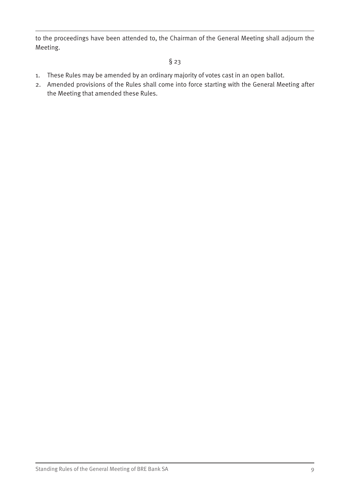to the proceedings have been attended to, the Chairman of the General Meeting shall adjourn the Meeting.

- 1. These Rules may be amended by an ordinary majority of votes cast in an open ballot.
- 2. Amended provisions of the Rules shall come into force starting with the General Meeting after the Meeting that amended these Rules.